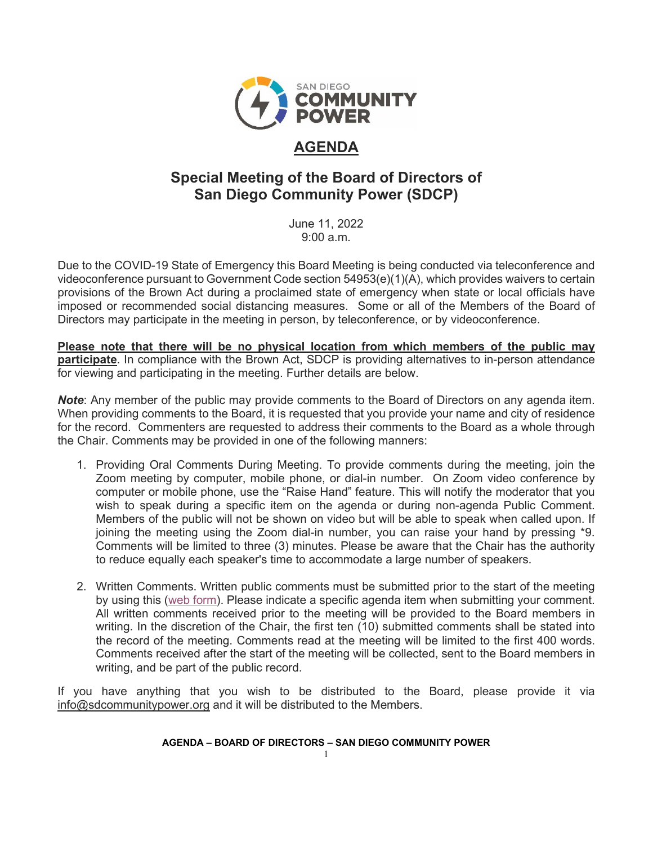

# **AGENDA**

# **Special Meeting of the Board of Directors of San Diego Community Power (SDCP)**

June 11, 2022  $9:00a \, m$ 

Due to the COVID-19 State of Emergency this Board Meeting is being conducted via teleconference and videoconference pursuant to Government Code section 54953(e)(1)(A), which provides waivers to certain provisions of the Brown Act during a proclaimed state of emergency when state or local officials have imposed or recommended social distancing measures. Some or all of the Members of the Board of Directors may participate in the meeting in person, by teleconference, or by videoconference.

**Please note that there will be no physical location from which members of the public may participate**. In compliance with the Brown Act, SDCP is providing alternatives to in-person attendance for viewing and participating in the meeting. Further details are below.

*Note*: Any member of the public may provide comments to the Board of Directors on any agenda item. When providing comments to the Board, it is requested that you provide your name and city of residence for the record. Commenters are requested to address their comments to the Board as a whole through the Chair. Comments may be provided in one of the following manners:

- 1. Providing Oral Comments During Meeting. To provide comments during the meeting, join the Zoom meeting by computer, mobile phone, or dial-in number. On Zoom video conference by computer or mobile phone, use the "Raise Hand" feature. This will notify the moderator that you wish to speak during a specific item on the agenda or during non-agenda Public Comment. Members of the public will not be shown on video but will be able to speak when called upon. If joining the meeting using the Zoom dial-in number, you can raise your hand by pressing \*9. Comments will be limited to three (3) minutes. Please be aware that the Chair has the authority to reduce equally each speaker's time to accommodate a large number of speakers.
- 2. Written Comments. Written public comments must be submitted prior to the start of the meeting by using this [\(web form\)](https://forms.office.com/Pages/ResponsePage.aspx?id=XSW4f6XpL0eDY7ffRWFpAXnBL1yZA6ZLqSFlS480ZGdUNVlSUzZJVUhRTDZNNVJCMzFaQzEySkEyWC4u). Please indicate a specific agenda item when submitting your comment. All written comments received prior to the meeting will be provided to the Board members in writing. In the discretion of the Chair, the first ten (10) submitted comments shall be stated into the record of the meeting. Comments read at the meeting will be limited to the first 400 words. Comments received after the start of the meeting will be collected, sent to the Board members in writing, and be part of the public record.

If you have anything that you wish to be distributed to the Board, please provide it via [info@sdcommunitypower.org](mailto:info@sdcommunitypower.org) and it will be distributed to the Members.

### **AGENDA – BOARD OF DIRECTORS – SAN DIEGO COMMUNITY POWER**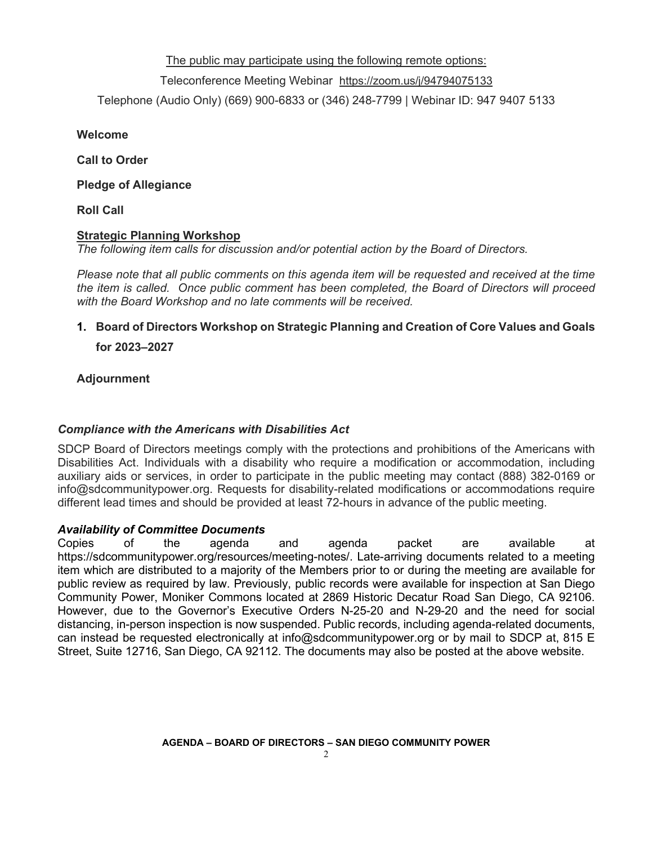The public may participate using the following remote options:

### Teleconference Meeting Webinar [https://zoom.us/j/94794075133](https://www.google.com/url?q=https://zoom.us/j/94794075133&sa=D&source=calendar&ust=1616887069364000&usg=AOvVaw2-U-6hPIHkok0FazSYm5lQ)

Telephone (Audio Only) (669) 900-6833 or (346) 248-7799 | Webinar ID: 947 9407 5133

**Welcome**

**Call to Order**

**Pledge of Allegiance** 

**Roll Call**

### **Strategic Planning Workshop**

*The following item calls for discussion and/or potential action by the Board of Directors.* 

*Please note that all public comments on this agenda item will be requested and received at the time the item is called. Once public comment has been completed, the Board of Directors will proceed with the Board Workshop and no late comments will be received.* 

### **1. Board of Directors Workshop on Strategic Planning and Creation of Core Values and Goals**

**for 2023–2027**

**Adjournment**

### *Compliance with the Americans with Disabilities Act*

SDCP Board of Directors meetings comply with the protections and prohibitions of the Americans with Disabilities Act. Individuals with a disability who require a modification or accommodation, including auxiliary aids or services, in order to participate in the public meeting may contact (888) 382-0169 or info@sdcommunitypower.org. Requests for disability-related modifications or accommodations require different lead times and should be provided at least 72-hours in advance of the public meeting.

### *Availability of Committee Documents*

Copies of the agenda and agenda packet are available at https://sdcommunitypower.org/resources/meeting-notes/. Late-arriving documents related to a meeting item which are distributed to a majority of the Members prior to or during the meeting are available for public review as required by law. Previously, public records were available for inspection at San Diego Community Power, Moniker Commons located at 2869 Historic Decatur Road San Diego, CA 92106. However, due to the Governor's Executive Orders N-25-20 and N-29-20 and the need for social distancing, in-person inspection is now suspended. Public records, including agenda-related documents, can instead be requested electronically at info@sdcommunitypower.org or by mail to SDCP at, 815 E Street, Suite 12716, San Diego, CA 92112. The documents may also be posted at the above website.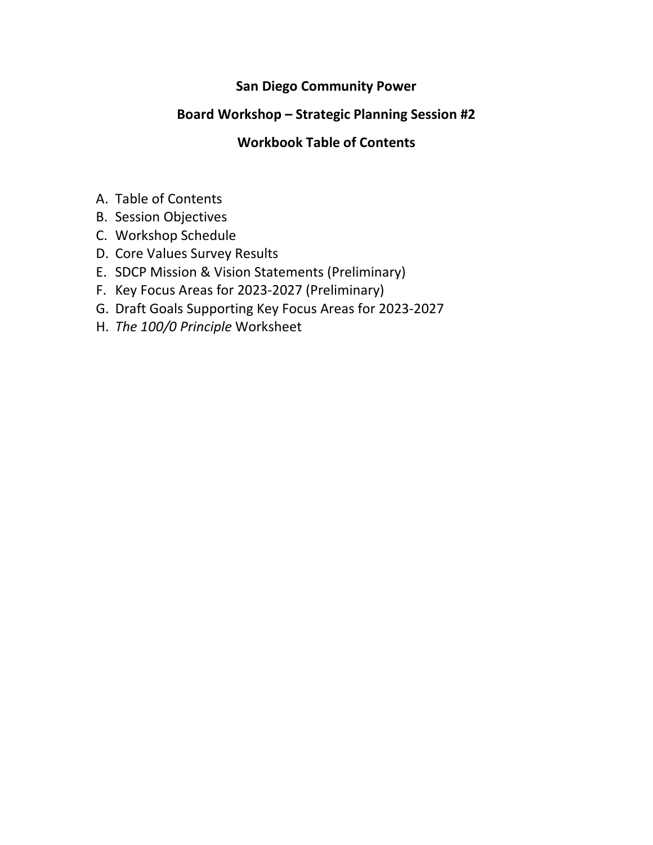# **San Diego Community Power**

# **Board Workshop – Strategic Planning Session #2**

# **Workbook Table of Contents**

- A. Table of Contents
- B. Session Objectives
- C. Workshop Schedule
- D. Core Values Survey Results
- E. SDCP Mission & Vision Statements (Preliminary)
- F. Key Focus Areas for 2023-2027 (Preliminary)
- G. Draft Goals Supporting Key Focus Areas for 2023-2027
- H. *The 100/0 Principle* Worksheet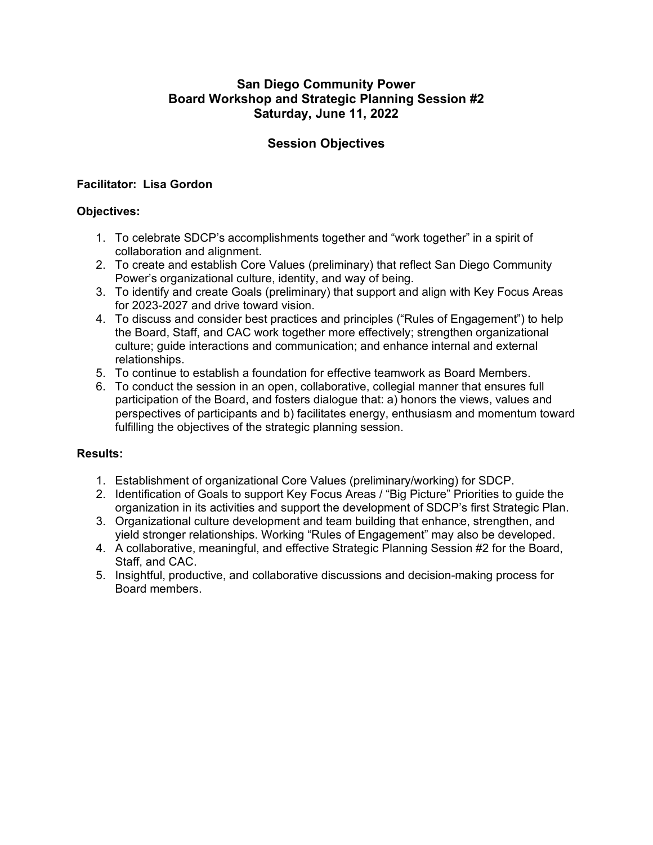## **San Diego Community Power Board Workshop and Strategic Planning Session #2 Saturday, June 11, 2022**

## **Session Objectives**

## **Facilitator: Lisa Gordon**

## **Objectives:**

- 1. To celebrate SDCP's accomplishments together and "work together" in a spirit of collaboration and alignment.
- 2. To create and establish Core Values (preliminary) that reflect San Diego Community Power's organizational culture, identity, and way of being.
- 3. To identify and create Goals (preliminary) that support and align with Key Focus Areas for 2023-2027 and drive toward vision.
- 4. To discuss and consider best practices and principles ("Rules of Engagement") to help the Board, Staff, and CAC work together more effectively; strengthen organizational culture; guide interactions and communication; and enhance internal and external relationships.
- 5. To continue to establish a foundation for effective teamwork as Board Members.
- 6. To conduct the session in an open, collaborative, collegial manner that ensures full participation of the Board, and fosters dialogue that: a) honors the views, values and perspectives of participants and b) facilitates energy, enthusiasm and momentum toward fulfilling the objectives of the strategic planning session.

### **Results:**

- 1. Establishment of organizational Core Values (preliminary/working) for SDCP.
- 2. Identification of Goals to support Key Focus Areas / "Big Picture" Priorities to guide the organization in its activities and support the development of SDCP's first Strategic Plan.
- 3. Organizational culture development and team building that enhance, strengthen, and yield stronger relationships. Working "Rules of Engagement" may also be developed.
- 4. A collaborative, meaningful, and effective Strategic Planning Session #2 for the Board, Staff, and CAC.
- 5. Insightful, productive, and collaborative discussions and decision-making process for Board members.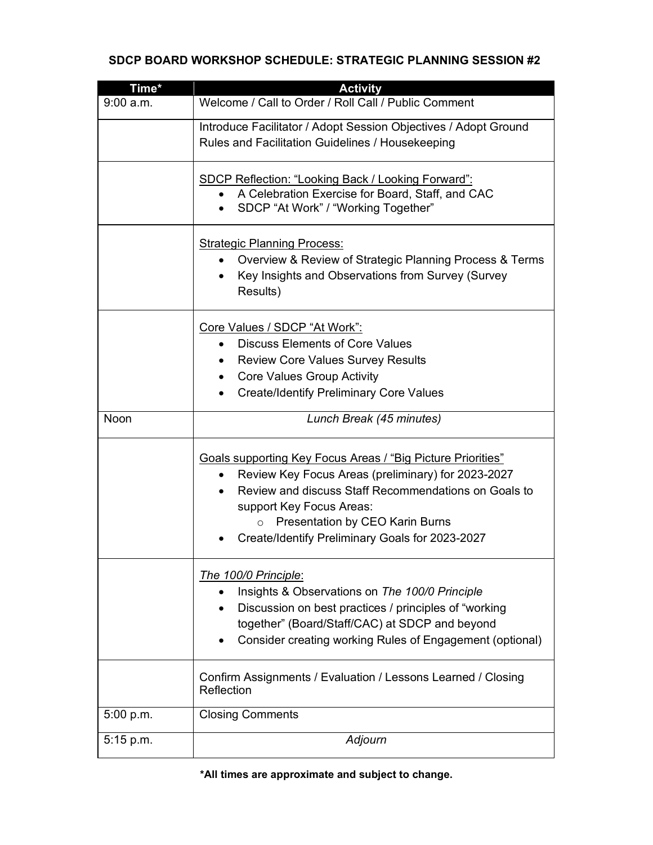## **SDCP BOARD WORKSHOP SCHEDULE: STRATEGIC PLANNING SESSION #2**

| Time*     | <b>Activity</b>                                                                                                                                                                                                                                                                                                            |  |  |  |  |
|-----------|----------------------------------------------------------------------------------------------------------------------------------------------------------------------------------------------------------------------------------------------------------------------------------------------------------------------------|--|--|--|--|
| 9:00 a.m. | Welcome / Call to Order / Roll Call / Public Comment                                                                                                                                                                                                                                                                       |  |  |  |  |
|           | Introduce Facilitator / Adopt Session Objectives / Adopt Ground<br>Rules and Facilitation Guidelines / Housekeeping                                                                                                                                                                                                        |  |  |  |  |
|           | <b>SDCP Reflection: "Looking Back / Looking Forward":</b><br>A Celebration Exercise for Board, Staff, and CAC<br>SDCP "At Work" / "Working Together"                                                                                                                                                                       |  |  |  |  |
|           | <b>Strategic Planning Process:</b><br>Overview & Review of Strategic Planning Process & Terms<br>Key Insights and Observations from Survey (Survey<br>$\bullet$<br>Results)                                                                                                                                                |  |  |  |  |
|           | Core Values / SDCP "At Work":<br><b>Discuss Elements of Core Values</b><br><b>Review Core Values Survey Results</b><br><b>Core Values Group Activity</b><br>$\bullet$<br><b>Create/Identify Preliminary Core Values</b>                                                                                                    |  |  |  |  |
| Noon      | Lunch Break (45 minutes)                                                                                                                                                                                                                                                                                                   |  |  |  |  |
|           | <b>Goals supporting Key Focus Areas / "Big Picture Priorities"</b><br>Review Key Focus Areas (preliminary) for 2023-2027<br>$\bullet$<br>Review and discuss Staff Recommendations on Goals to<br>support Key Focus Areas:<br>Presentation by CEO Karin Burns<br>$\circ$<br>Create/Identify Preliminary Goals for 2023-2027 |  |  |  |  |
|           | The 100/0 Principle:<br>Insights & Observations on The 100/0 Principle<br>Discussion on best practices / principles of "working<br>together" (Board/Staff/CAC) at SDCP and beyond<br>Consider creating working Rules of Engagement (optional)                                                                              |  |  |  |  |
|           | Confirm Assignments / Evaluation / Lessons Learned / Closing<br>Reflection                                                                                                                                                                                                                                                 |  |  |  |  |
| 5:00 p.m. | <b>Closing Comments</b>                                                                                                                                                                                                                                                                                                    |  |  |  |  |
| 5:15 p.m. | Adjourn                                                                                                                                                                                                                                                                                                                    |  |  |  |  |

**\*All times are approximate and subject to change.**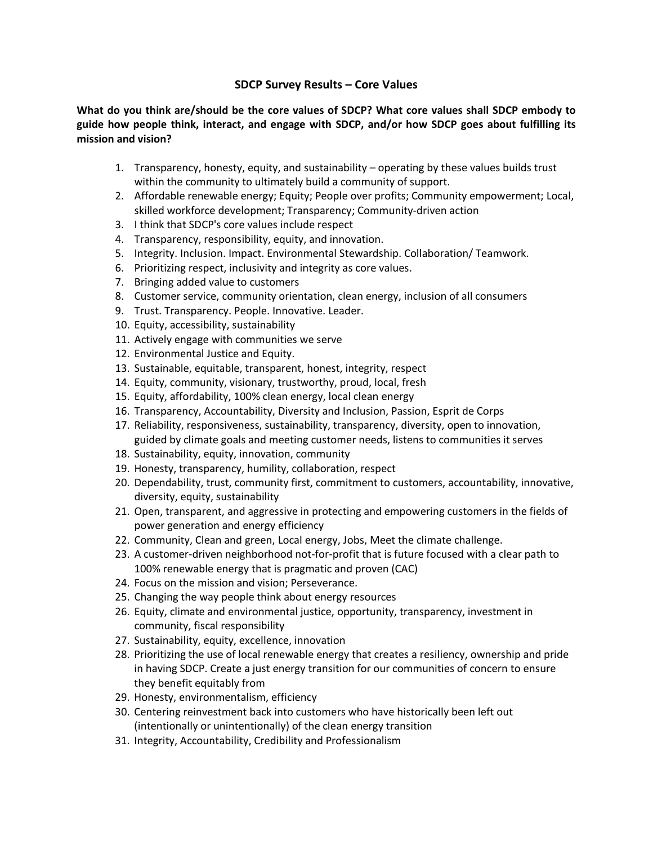### **SDCP Survey Results – Core Values**

**What do you think are/should be the core values of SDCP? What core values shall SDCP embody to guide how people think, interact, and engage with SDCP, and/or how SDCP goes about fulfilling its mission and vision?**

- 1. Transparency, honesty, equity, and sustainability operating by these values builds trust within the community to ultimately build a community of support.
- 2. Affordable renewable energy; Equity; People over profits; Community empowerment; Local, skilled workforce development; Transparency; Community-driven action
- 3. I think that SDCP's core values include respect
- 4. Transparency, responsibility, equity, and innovation.
- 5. Integrity. Inclusion. Impact. Environmental Stewardship. Collaboration/ Teamwork.
- 6. Prioritizing respect, inclusivity and integrity as core values.
- 7. Bringing added value to customers
- 8. Customer service, community orientation, clean energy, inclusion of all consumers
- 9. Trust. Transparency. People. Innovative. Leader.
- 10. Equity, accessibility, sustainability
- 11. Actively engage with communities we serve
- 12. Environmental Justice and Equity.
- 13. Sustainable, equitable, transparent, honest, integrity, respect
- 14. Equity, community, visionary, trustworthy, proud, local, fresh
- 15. Equity, affordability, 100% clean energy, local clean energy
- 16. Transparency, Accountability, Diversity and Inclusion, Passion, Esprit de Corps
- 17. Reliability, responsiveness, sustainability, transparency, diversity, open to innovation, guided by climate goals and meeting customer needs, listens to communities it serves
- 18. Sustainability, equity, innovation, community
- 19. Honesty, transparency, humility, collaboration, respect
- 20. Dependability, trust, community first, commitment to customers, accountability, innovative, diversity, equity, sustainability
- 21. Open, transparent, and aggressive in protecting and empowering customers in the fields of power generation and energy efficiency
- 22. Community, Clean and green, Local energy, Jobs, Meet the climate challenge.
- 23. A customer-driven neighborhood not-for-profit that is future focused with a clear path to 100% renewable energy that is pragmatic and proven (CAC)
- 24. Focus on the mission and vision; Perseverance.
- 25. Changing the way people think about energy resources
- 26. Equity, climate and environmental justice, opportunity, transparency, investment in community, fiscal responsibility
- 27. Sustainability, equity, excellence, innovation
- 28. Prioritizing the use of local renewable energy that creates a resiliency, ownership and pride in having SDCP. Create a just energy transition for our communities of concern to ensure they benefit equitably from
- 29. Honesty, environmentalism, efficiency
- 30. Centering reinvestment back into customers who have historically been left out (intentionally or unintentionally) of the clean energy transition
- 31. Integrity, Accountability, Credibility and Professionalism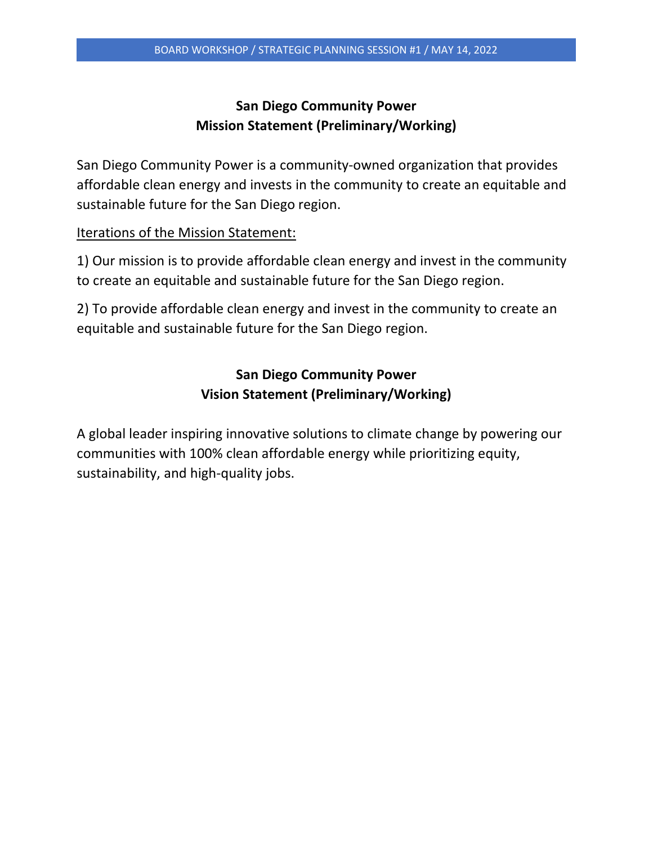# **San Diego Community Power Mission Statement (Preliminary/Working)**

San Diego Community Power is a community-owned organization that provides affordable clean energy and invests in the community to create an equitable and sustainable future for the San Diego region.

Iterations of the Mission Statement:

1) Our mission is to provide affordable clean energy and invest in the community to create an equitable and sustainable future for the San Diego region.

2) To provide affordable clean energy and invest in the community to create an equitable and sustainable future for the San Diego region.

# **San Diego Community Power Vision Statement (Preliminary/Working)**

A global leader inspiring innovative solutions to climate change by powering our communities with 100% clean affordable energy while prioritizing equity, sustainability, and high-quality jobs.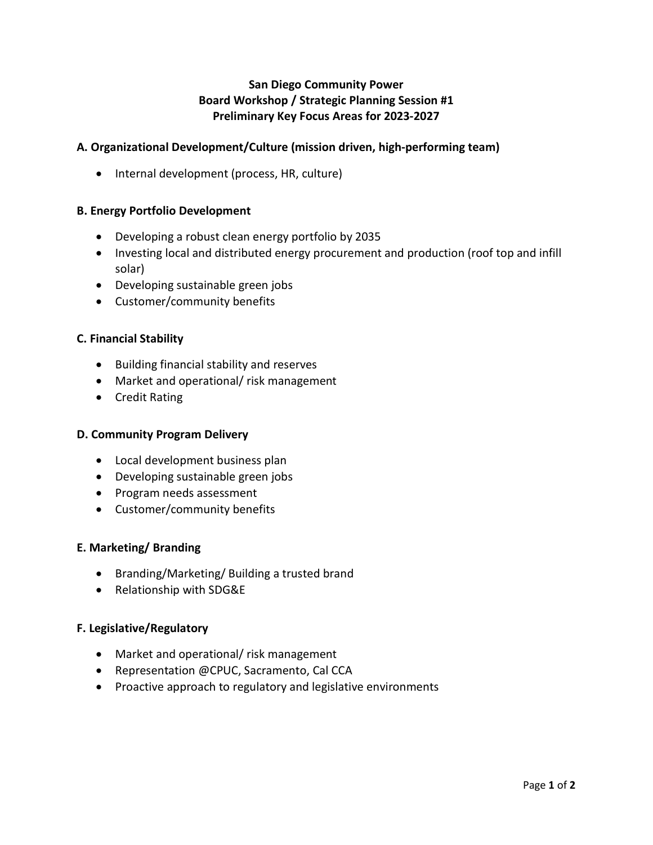## **San Diego Community Power Board Workshop / Strategic Planning Session #1 Preliminary Key Focus Areas for 2023-2027**

## **A. Organizational Development/Culture (mission driven, high-performing team)**

• Internal development (process, HR, culture)

### **B. Energy Portfolio Development**

- Developing a robust clean energy portfolio by 2035
- Investing local and distributed energy procurement and production (roof top and infill solar)
- Developing sustainable green jobs
- Customer/community benefits

### **C. Financial Stability**

- Building financial stability and reserves
- Market and operational/ risk management
- Credit Rating

### **D. Community Program Delivery**

- Local development business plan
- Developing sustainable green jobs
- Program needs assessment
- Customer/community benefits

#### **E. Marketing/ Branding**

- Branding/Marketing/ Building a trusted brand
- Relationship with SDG&E

#### **F. Legislative/Regulatory**

- Market and operational/ risk management
- Representation @CPUC, Sacramento, Cal CCA
- Proactive approach to regulatory and legislative environments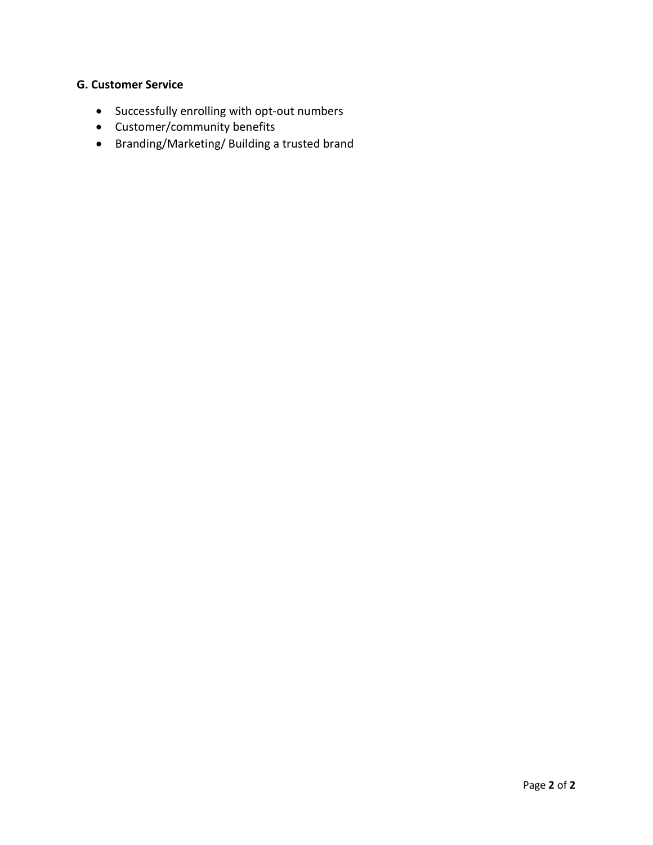## **G. Customer Service**

- Successfully enrolling with opt-out numbers
- Customer/community benefits
- Branding/Marketing/ Building a trusted brand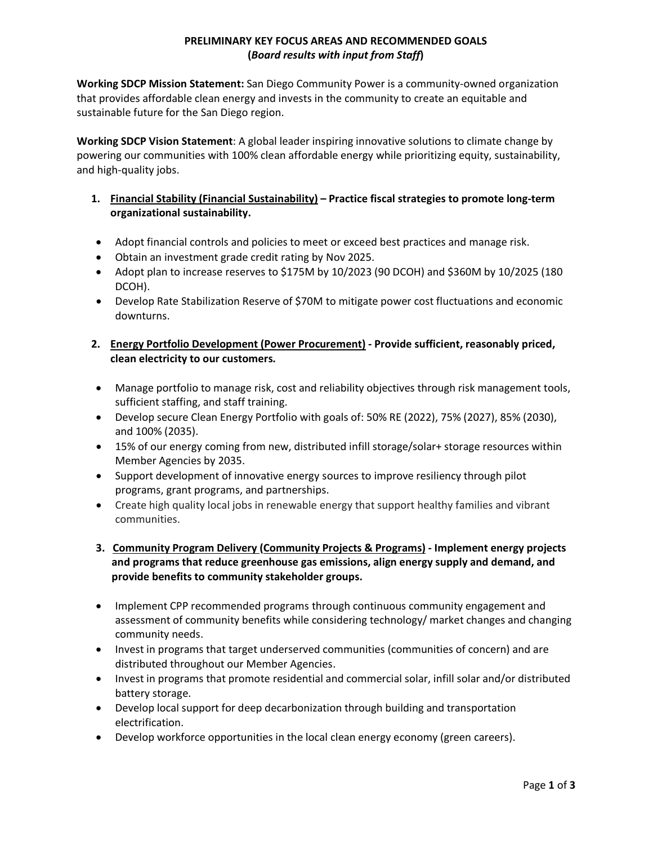### **PRELIMINARY KEY FOCUS AREAS AND RECOMMENDED GOALS (***Board results with input from Staff***)**

**Working SDCP Mission Statement:** San Diego Community Power is a community-owned organization that provides affordable clean energy and invests in the community to create an equitable and sustainable future for the San Diego region.

**Working SDCP Vision Statement**: A global leader inspiring innovative solutions to climate change by powering our communities with 100% clean affordable energy while prioritizing equity, sustainability, and high-quality jobs.

- **1. Financial Stability (Financial Sustainability) Practice fiscal strategies to promote long-term organizational sustainability.**
- Adopt financial controls and policies to meet or exceed best practices and manage risk.
- Obtain an investment grade credit rating by Nov 2025.
- Adopt plan to increase reserves to \$175M by 10/2023 (90 DCOH) and \$360M by 10/2025 (180 DCOH).
- Develop Rate Stabilization Reserve of \$70M to mitigate power cost fluctuations and economic downturns.
- **2. Energy Portfolio Development (Power Procurement) Provide sufficient, reasonably priced, clean electricity to our customers.**
- Manage portfolio to manage risk, cost and reliability objectives through risk management tools, sufficient staffing, and staff training.
- Develop secure Clean Energy Portfolio with goals of: 50% RE (2022), 75% (2027), 85% (2030), and 100% (2035).
- 15% of our energy coming from new, distributed infill storage/solar+ storage resources within Member Agencies by 2035.
- Support development of innovative energy sources to improve resiliency through pilot programs, grant programs, and partnerships.
- Create high quality local jobs in renewable energy that support healthy families and vibrant communities.
- **3. Community Program Delivery (Community Projects & Programs) Implement energy projects and programs that reduce greenhouse gas emissions, align energy supply and demand, and provide benefits to community stakeholder groups.**
- Implement CPP recommended programs through continuous community engagement and assessment of community benefits while considering technology/ market changes and changing community needs.
- Invest in programs that target underserved communities (communities of concern) and are distributed throughout our Member Agencies.
- Invest in programs that promote residential and commercial solar, infill solar and/or distributed battery storage.
- Develop local support for deep decarbonization through building and transportation electrification.
- Develop workforce opportunities in the local clean energy economy (green careers).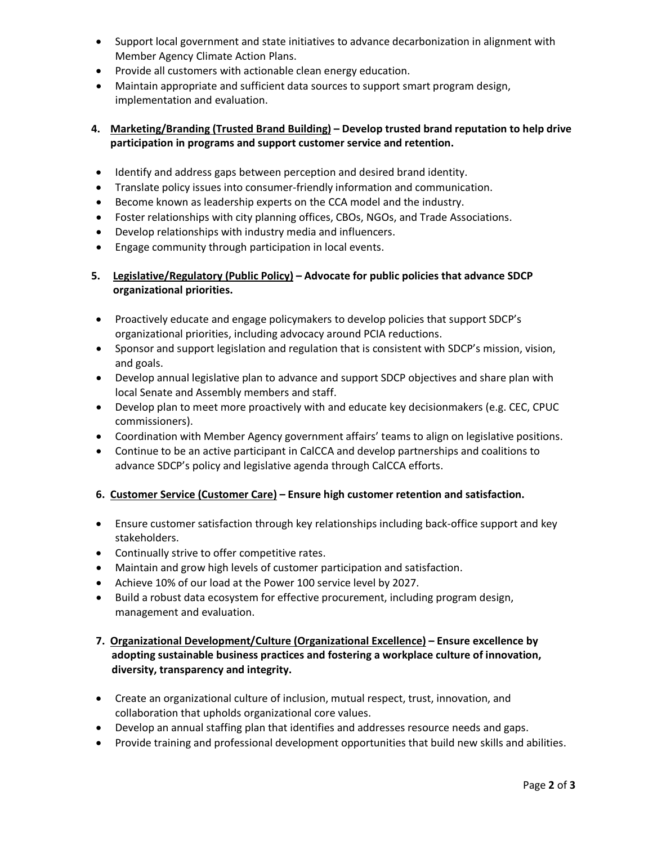- Support local government and state initiatives to advance decarbonization in alignment with Member Agency Climate Action Plans.
- Provide all customers with actionable clean energy education.
- Maintain appropriate and sufficient data sources to support smart program design, implementation and evaluation.

#### **4. Marketing/Branding (Trusted Brand Building) – Develop trusted brand reputation to help drive participation in programs and support customer service and retention.**

- Identify and address gaps between perception and desired brand identity.
- Translate policy issues into consumer-friendly information and communication.
- Become known as leadership experts on the CCA model and the industry.
- Foster relationships with city planning offices, CBOs, NGOs, and Trade Associations.
- Develop relationships with industry media and influencers.
- Engage community through participation in local events.

### **5. Legislative/Regulatory (Public Policy) – Advocate for public policies that advance SDCP organizational priorities.**

- Proactively educate and engage policymakers to develop policies that support SDCP's organizational priorities, including advocacy around PCIA reductions.
- Sponsor and support legislation and regulation that is consistent with SDCP's mission, vision, and goals.
- Develop annual legislative plan to advance and support SDCP objectives and share plan with local Senate and Assembly members and staff.
- Develop plan to meet more proactively with and educate key decisionmakers (e.g. CEC, CPUC commissioners).
- Coordination with Member Agency government affairs' teams to align on legislative positions.
- Continue to be an active participant in CalCCA and develop partnerships and coalitions to advance SDCP's policy and legislative agenda through CalCCA efforts.

#### **6. Customer Service (Customer Care) – Ensure high customer retention and satisfaction.**

- Ensure customer satisfaction through key relationships including back-office support and key stakeholders.
- Continually strive to offer competitive rates.
- Maintain and grow high levels of customer participation and satisfaction.
- Achieve 10% of our load at the Power 100 service level by 2027.
- Build a robust data ecosystem for effective procurement, including program design, management and evaluation.
- **7. Organizational Development/Culture (Organizational Excellence) Ensure excellence by adopting sustainable business practices and fostering a workplace culture of innovation, diversity, transparency and integrity.**
- Create an organizational culture of inclusion, mutual respect, trust, innovation, and collaboration that upholds organizational core values.
- Develop an annual staffing plan that identifies and addresses resource needs and gaps.
- Provide training and professional development opportunities that build new skills and abilities.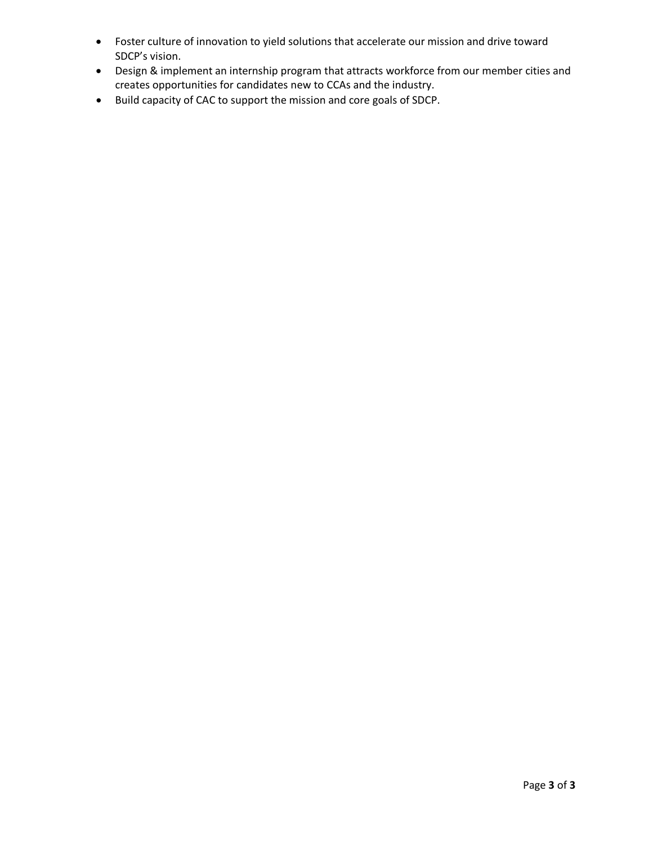- Foster culture of innovation to yield solutions that accelerate our mission and drive toward SDCP's vision.
- Design & implement an internship program that attracts workforce from our member cities and creates opportunities for candidates new to CCAs and the industry.
- Build capacity of CAC to support the mission and core goals of SDCP.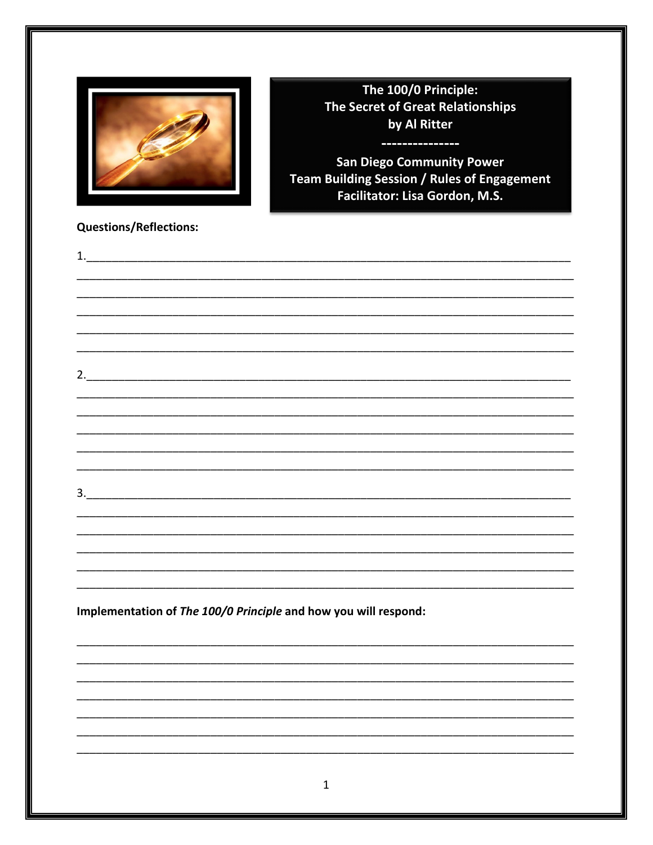

The 100/0 Principle: The Secret of Great Relationships by Al Ritter

**COLLECT** 

**San Diego Community Power** Team Building Session / Rules of Engagement Facilitator: Lisa Gordon, M.S.

---------

# **Questions/Reflections:**

| 1.                                                              |  |             |  |  |  |
|-----------------------------------------------------------------|--|-------------|--|--|--|
|                                                                 |  |             |  |  |  |
|                                                                 |  |             |  |  |  |
|                                                                 |  |             |  |  |  |
|                                                                 |  |             |  |  |  |
|                                                                 |  |             |  |  |  |
|                                                                 |  |             |  |  |  |
|                                                                 |  |             |  |  |  |
|                                                                 |  |             |  |  |  |
|                                                                 |  |             |  |  |  |
|                                                                 |  |             |  |  |  |
|                                                                 |  |             |  |  |  |
|                                                                 |  |             |  |  |  |
|                                                                 |  |             |  |  |  |
|                                                                 |  |             |  |  |  |
|                                                                 |  |             |  |  |  |
|                                                                 |  |             |  |  |  |
|                                                                 |  |             |  |  |  |
|                                                                 |  |             |  |  |  |
| Implementation of The 100/0 Principle and how you will respond: |  |             |  |  |  |
|                                                                 |  |             |  |  |  |
|                                                                 |  |             |  |  |  |
|                                                                 |  |             |  |  |  |
|                                                                 |  |             |  |  |  |
|                                                                 |  |             |  |  |  |
|                                                                 |  |             |  |  |  |
|                                                                 |  |             |  |  |  |
|                                                                 |  |             |  |  |  |
|                                                                 |  | $\mathbf 1$ |  |  |  |
|                                                                 |  |             |  |  |  |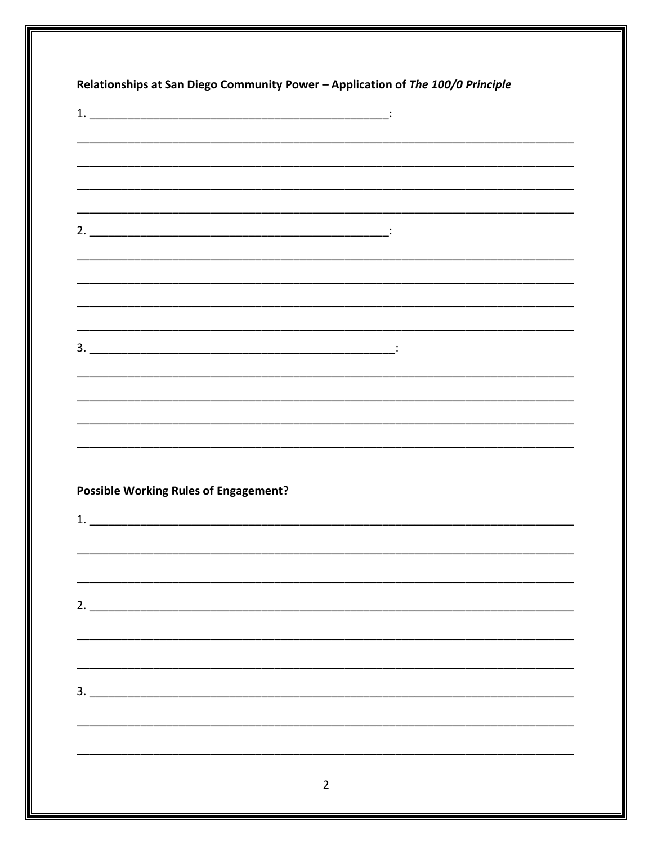|                                              | <u> 1989 - Johann Stoff, deutscher Stoff, der Stoff, der Stoff, der Stoff, der Stoff, der Stoff, der Stoff, der S</u> |  |  |
|----------------------------------------------|-----------------------------------------------------------------------------------------------------------------------|--|--|
|                                              |                                                                                                                       |  |  |
|                                              |                                                                                                                       |  |  |
|                                              |                                                                                                                       |  |  |
|                                              |                                                                                                                       |  |  |
|                                              |                                                                                                                       |  |  |
|                                              |                                                                                                                       |  |  |
|                                              |                                                                                                                       |  |  |
|                                              |                                                                                                                       |  |  |
|                                              |                                                                                                                       |  |  |
|                                              |                                                                                                                       |  |  |
|                                              |                                                                                                                       |  |  |
|                                              |                                                                                                                       |  |  |
|                                              |                                                                                                                       |  |  |
|                                              |                                                                                                                       |  |  |
|                                              |                                                                                                                       |  |  |
|                                              |                                                                                                                       |  |  |
|                                              |                                                                                                                       |  |  |
| <b>Possible Working Rules of Engagement?</b> |                                                                                                                       |  |  |
|                                              |                                                                                                                       |  |  |
|                                              |                                                                                                                       |  |  |
|                                              |                                                                                                                       |  |  |
|                                              |                                                                                                                       |  |  |
|                                              |                                                                                                                       |  |  |
|                                              |                                                                                                                       |  |  |
|                                              |                                                                                                                       |  |  |
|                                              |                                                                                                                       |  |  |
|                                              | 3.                                                                                                                    |  |  |
|                                              |                                                                                                                       |  |  |